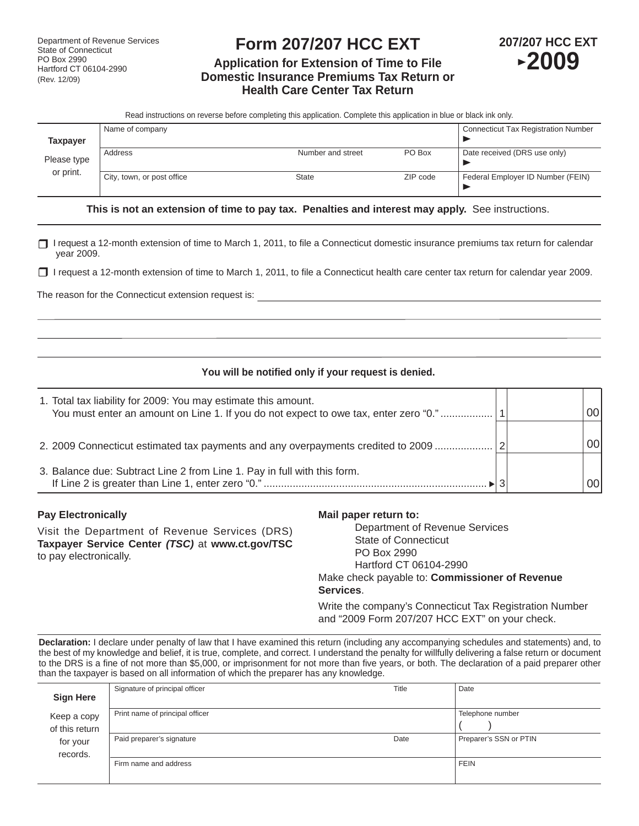# **Form 207/207 HCC EXT**

# **Application for Extension of Time to File Domestic Insurance Premiums Tax Return or Health Care Center Tax Return**



Read instructions on reverse before completing this application. Complete this application in blue or black ink only.

|                          | Name of company            |                   |          | <b>Connecticut Tax Registration Number</b> |
|--------------------------|----------------------------|-------------------|----------|--------------------------------------------|
| <b>Taxpayer</b>          |                            |                   |          |                                            |
| Please type<br>or print. | Address                    | Number and street | PO Box   | Date received (DRS use only)               |
|                          | City, town, or post office | State             | ZIP code | Federal Employer ID Number (FEIN)          |
|                          |                            |                   |          |                                            |

**This is not an extension of time to pay tax. Penalties and interest may apply.** See instructions.

□ I request a 12-month extension of time to March 1, 2011, to file a Connecticut domestic insurance premiums tax return for calendar year 2009.

□ I request a 12-month extension of time to March 1, 2011, to file a Connecticut health care center tax return for calendar year 2009.

The reason for the Connecticut extension request is:

# You will be notified only if your request is denied.

| 1. Total tax liability for 2009: You may estimate this amount.<br>You must enter an amount on Line 1. If you do not expect to owe tax, enter zero "0." |   | 00l |
|--------------------------------------------------------------------------------------------------------------------------------------------------------|---|-----|
| 2. 2009 Connecticut estimated tax payments and any overpayments credited to 2009                                                                       | 2 | 001 |
| 3. Balance due: Subtract Line 2 from Line 1. Pay in full with this form.                                                                               |   | 00I |

#### **Pay Electronically**

Visit the Department of Revenue Services (DRS) **Taxpayer Service Center** *(TSC)* at **www.ct.gov/TSC** to pay electronically.

### **Mail paper return to:**

 Department of Revenue Services State of Connecticut PO Box 2990 Hartford CT 06104-2990 Make check payable to: **Commissioner of Revenue Services**.

Write the company's Connecticut Tax Registration Number and "2009 Form 207/207 HCC EXT" on your check.

**Declaration:** I declare under penalty of law that I have examined this return (including any accompanying schedules and statements) and, to the best of my knowledge and belief, it is true, complete, and correct. I understand the penalty for willfully delivering a false return or document to the DRS is a fine of not more than \$5,000, or imprisonment for not more than five years, or both. The declaration of a paid preparer other than the taxpayer is based on all information of which the preparer has any knowledge.

| <b>Sign Here</b>              | Signature of principal officer  | Title | Date                   |
|-------------------------------|---------------------------------|-------|------------------------|
| Keep a copy<br>of this return | Print name of principal officer |       | Telephone number       |
| for your<br>records.          | Paid preparer's signature       | Date  | Preparer's SSN or PTIN |
|                               | Firm name and address           |       | <b>FEIN</b>            |